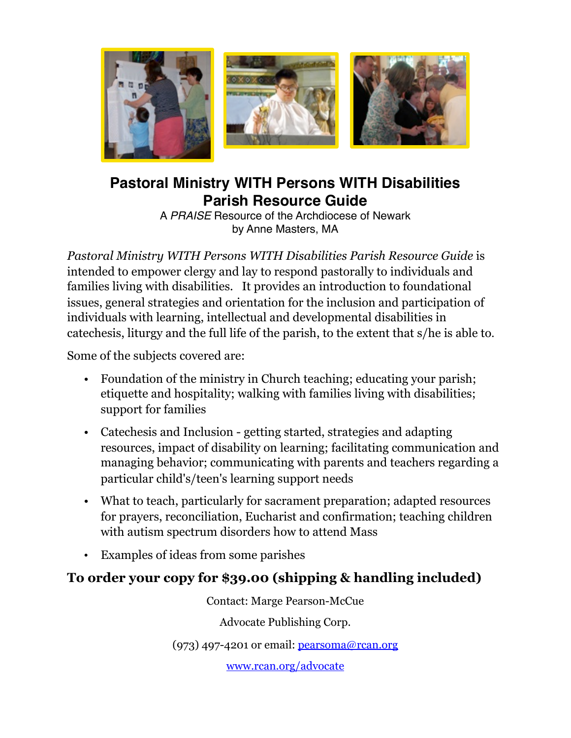

## **Pastoral Ministry WITH Persons WITH Disabilities Parish Resource Guide**

A *PRAISE* Resource of the Archdiocese of Newark by Anne Masters, MA

*Pastoral Ministry WITH Persons WITH Disabilities Parish Resource Guide* is intended to empower clergy and lay to respond pastorally to individuals and families living with disabilities. It provides an introduction to foundational issues, general strategies and orientation for the inclusion and participation of individuals with learning, intellectual and developmental disabilities in catechesis, liturgy and the full life of the parish, to the extent that s/he is able to.

Some of the subjects covered are:

- Foundation of the ministry in Church teaching; educating your parish; etiquette and hospitality; walking with families living with disabilities; support for families
- Catechesis and Inclusion getting started, strategies and adapting resources, impact of disability on learning; facilitating communication and managing behavior; communicating with parents and teachers regarding a particular child's/teen's learning support needs
- What to teach, particularly for sacrament preparation; adapted resources for prayers, reconciliation, Eucharist and confirmation; teaching children with autism spectrum disorders how to attend Mass
- Examples of ideas from some parishes

## **To order your copy for \$39.00 (shipping & handling included)**

Contact: Marge Pearson-McCue

Advocate Publishing Corp.

(973) 497-4201 or email: [pearsoma@rcan.org](mailto:pearsoma@rcan.org)

[www.rcan.org/advocate](http://www.rcan.org/advocate)